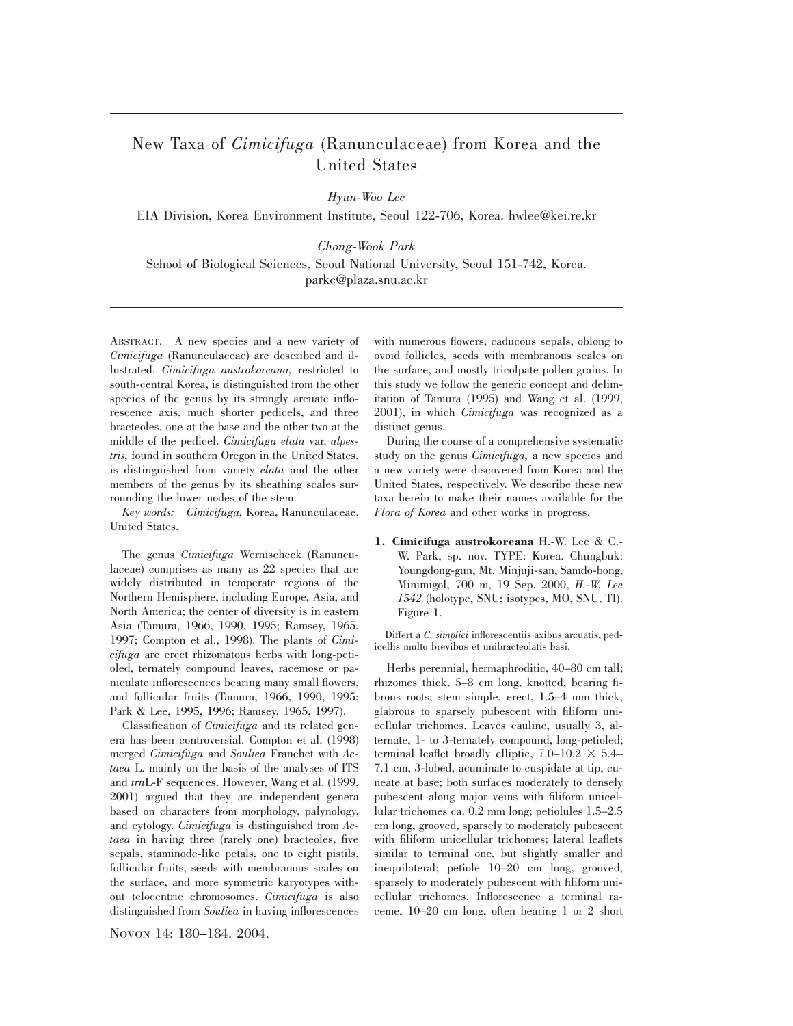## New Taxa of *Cimicifuga* (Ranunculaceae) from Korea and the United States

*Hyun-Woo Lee*

EIA Division, Korea Environment Institute, Seoul 122-706, Korea. hwlee@kei.re.kr

*Chong-Wook Park*

School of Biological Sciences, Seoul National University, Seoul 151-742, Korea. parkc@plaza.snu.ac.kr

ABSTRACT. A new species and a new variety of *Cimicifuga* (Ranunculaceae) are described and illustrated. *Cimicifuga austrokoreana,* restricted to south-central Korea, is distinguished from the other species of the genus by its strongly arcuate inflorescence axis, much shorter pedicels, and three bracteoles, one at the base and the other two at the middle of the pedicel. *Cimicifuga elata* var. *alpestris,* found in southern Oregon in the United States, is distinguished from variety *elata* and the other members of the genus by its sheathing scales surrounding the lower nodes of the stem.

*Key words: Cimicifuga,* Korea, Ranunculaceae, United States.

The genus *Cimicifuga* Wernischeck (Ranunculaceae) comprises as many as 22 species that are widely distributed in temperate regions of the Northern Hemisphere, including Europe, Asia, and North America; the center of diversity is in eastern Asia (Tamura, 1966, 1990, 1995; Ramsey, 1965, 1997; Compton et al., 1998). The plants of *Cimicifuga* are erect rhizomatous herbs with long-petioled, ternately compound leaves, racemose or paniculate inflorescences bearing many small flowers, and follicular fruits (Tamura, 1966, 1990, 1995; Park & Lee, 1995, 1996; Ramsey, 1965, 1997).

Classification of *Cimicifuga* and its related genera has been controversial. Compton et al. (1998) merged *Cimicifuga* and *Souliea* Franchet with *Actaea* L. mainly on the basis of the analyses of ITS and *trn*L-F sequences. However, Wang et al. (1999, 2001) argued that they are independent genera based on characters from morphology, palynology, and cytology. *Cimicifuga* is distinguished from *Actaea* in having three (rarely one) bracteoles, five sepals, staminode-like petals, one to eight pistils, follicular fruits, seeds with membranous scales on the surface, and more symmetric karyotypes without telocentric chromosomes. *Cimicifuga* is also distinguished from *Souliea* in having inflorescences

NOVON 14: 180–184. 2004.

with numerous flowers, caducous sepals, oblong to ovoid follicles, seeds with membranous scales on the surface, and mostly tricolpate pollen grains. In this study we follow the generic concept and delimitation of Tamura (1995) and Wang et al. (1999, 2001), in which *Cimicifuga* was recognized as a distinct genus.

During the course of a comprehensive systematic study on the genus *Cimicifuga,* a new species and a new variety were discovered from Korea and the United States, respectively. We describe these new taxa herein to make their names available for the *Flora of Korea* and other works in progress.

**1. Cimicifuga austrokoreana** H.-W. Lee & C.- W. Park, sp. nov. TYPE: Korea. Chungbuk: Youngdong-gun, Mt. Minjuji-san, Samdo-bong, Minimigol, 700 m, 19 Sep. 2000, *H.-W. Lee 1542* (holotype, SNU; isotypes, MO, SNU, TI). Figure 1.

Differt a *C. simplici* inflorescentiis axibus arcuatis, pedicellis multo brevibus et unibracteolatis basi.

Herbs perennial, hermaphroditic, 40–80 cm tall; rhizomes thick, 5–8 cm long, knotted, bearing fibrous roots; stem simple, erect, 1.5–4 mm thick, glabrous to sparsely pubescent with filiform unicellular trichomes. Leaves cauline, usually 3, alternate, 1- to 3-ternately compound, long-petioled; terminal leaflet broadly elliptic,  $7.0-10.2 \times 5.4-$ 7.1 cm, 3-lobed, acuminate to cuspidate at tip, cuneate at base; both surfaces moderately to densely pubescent along major veins with filiform unicellular trichomes ca. 0.2 mm long; petiolules 1.5–2.5 cm long, grooved, sparsely to moderately pubescent with filiform unicellular trichomes; lateral leaflets similar to terminal one, but slightly smaller and inequilateral; petiole 10–20 cm long, grooved, sparsely to moderately pubescent with filiform unicellular trichomes. Inflorescence a terminal raceme, 10–20 cm long, often bearing 1 or 2 short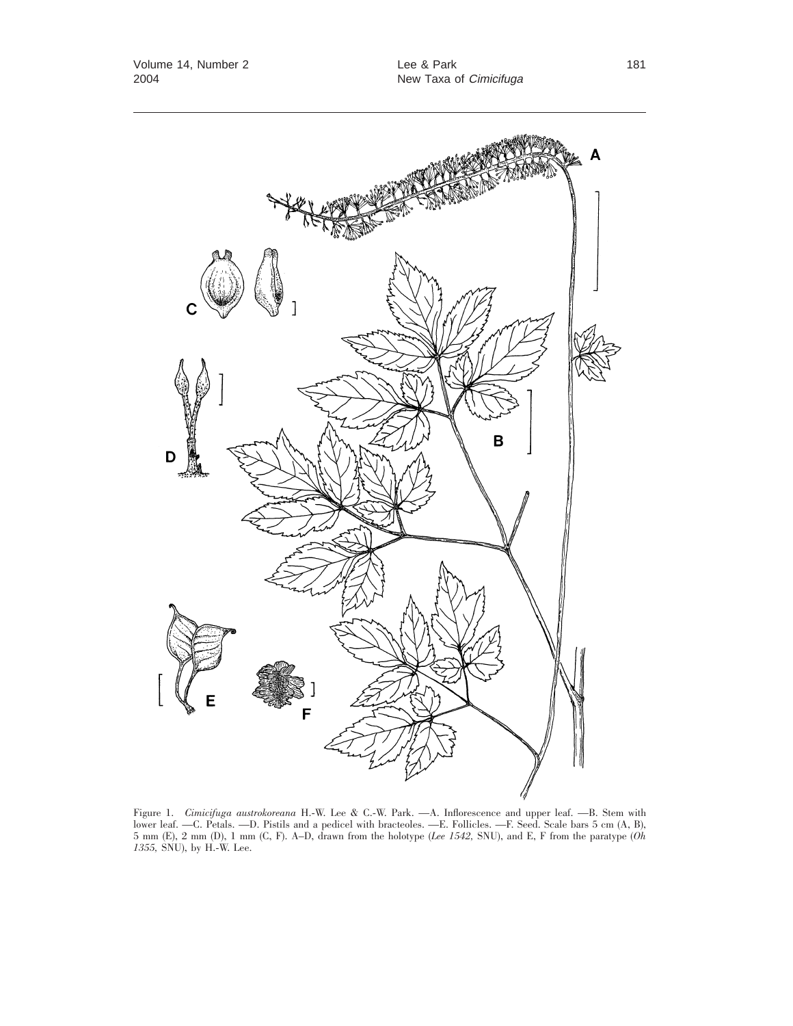

Figure 1. *Cimicifuga austrokoreana* H.-W. Lee & C.-W. Park. —A. Inflorescence and upper leaf. —B. Stem with lower leaf. —C. Petals. —D. Pistils and a pedicel with bracteoles. —E. Follicles. —F. Seed. Scale bars 5 cm (A, B), 5 mm (E), 2 mm (D), 1 mm (C, F). A–D, drawn from the holotype (*Lee 1542,* SNU), and E, F from the paratype (*Oh 1355,* SNU), by H.-W. Lee.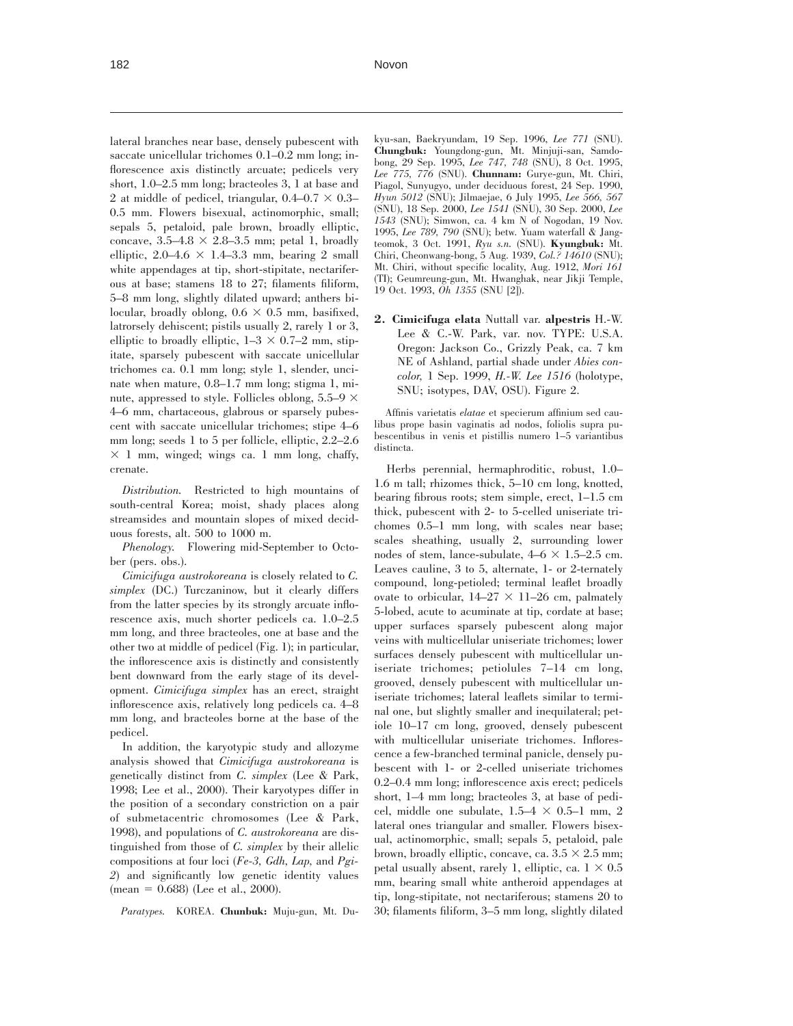lateral branches near base, densely pubescent with saccate unicellular trichomes 0.1–0.2 mm long; inflorescence axis distinctly arcuate; pedicels very short, 1.0–2.5 mm long; bracteoles 3, 1 at base and 2 at middle of pedicel, triangular,  $0.4-0.7 \times 0.3-$ 0.5 mm. Flowers bisexual, actinomorphic, small; sepals 5, petaloid, pale brown, broadly elliptic, concave,  $3.5-4.8 \times 2.8-3.5$  mm; petal 1, broadly elliptic,  $2.0-4.6 \times 1.4-3.3$  mm, bearing 2 small white appendages at tip, short-stipitate, nectariferous at base; stamens 18 to 27; filaments filiform, 5–8 mm long, slightly dilated upward; anthers bilocular, broadly oblong,  $0.6 \times 0.5$  mm, basifixed, latrorsely dehiscent; pistils usually 2, rarely 1 or 3, elliptic to broadly elliptic,  $1-3 \times 0.7-2$  mm, stipitate, sparsely pubescent with saccate unicellular trichomes ca. 0.1 mm long; style 1, slender, uncinate when mature, 0.8–1.7 mm long; stigma 1, minute, appressed to style. Follicles oblong, 5.5–9  $\times$ 4–6 mm, chartaceous, glabrous or sparsely pubescent with saccate unicellular trichomes; stipe 4–6 mm long; seeds 1 to 5 per follicle, elliptic, 2.2–2.6  $\times$  1 mm, winged; wings ca. 1 mm long, chaffy, crenate.

*Distribution.* Restricted to high mountains of south-central Korea; moist, shady places along streamsides and mountain slopes of mixed deciduous forests, alt. 500 to 1000 m.

*Phenology.* Flowering mid-September to October (pers. obs.).

*Cimicifuga austrokoreana* is closely related to *C. simplex* (DC.) Turczaninow, but it clearly differs from the latter species by its strongly arcuate inflorescence axis, much shorter pedicels ca. 1.0–2.5 mm long, and three bracteoles, one at base and the other two at middle of pedicel (Fig. 1); in particular, the inflorescence axis is distinctly and consistently bent downward from the early stage of its development. *Cimicifuga simplex* has an erect, straight inflorescence axis, relatively long pedicels ca. 4–8 mm long, and bracteoles borne at the base of the pedicel.

In addition, the karyotypic study and allozyme analysis showed that *Cimicifuga austrokoreana* is genetically distinct from *C. simplex* (Lee & Park, 1998; Lee et al., 2000). Their karyotypes differ in the position of a secondary constriction on a pair of submetacentric chromosomes (Lee & Park, 1998), and populations of *C. austrokoreana* are distinguished from those of *C. simplex* by their allelic compositions at four loci (*Fe-3, Gdh, Lap,* and *Pgi-2*) and significantly low genetic identity values  $(mean = 0.688)$  (Lee et al., 2000).

*Paratypes.* KOREA. **Chunbuk:** Muju-gun, Mt. Du-

kyu-san, Baekryundam, 19 Sep. 1996, *Lee 771* (SNU). **Chungbuk:** Youngdong-gun, Mt. Minjuji-san, Samdobong, 29 Sep. 1995, *Lee 747, 748* (SNU), 8 Oct. 1995, *Lee 775, 776* (SNU). **Chunnam:** Gurye-gun, Mt. Chiri, Piagol, Sunyugyo, under deciduous forest, 24 Sep. 1990, *Hyun 5012* (SNU); Jilmaejae, 6 July 1995, *Lee 566, 567* (SNU), 18 Sep. 2000, *Lee 1541* (SNU), 30 Sep. 2000, *Lee 1543* (SNU); Simwon, ca. 4 km N of Nogodan, 19 Nov. 1995, *Lee 789, 790* (SNU); betw. Yuam waterfall & Jangteomok, 3 Oct. 1991, *Ryu s.n.* (SNU). **Kyungbuk:** Mt. Chiri, Cheonwang-bong, 5 Aug. 1939, *Col.? 14610* (SNU); Mt. Chiri, without specific locality, Aug. 1912, *Mori 161* (TI); Geumreung-gun, Mt. Hwanghak, near Jikji Temple, 19 Oct. 1993, *Oh 1355* (SNU [2]).

**2. Cimicifuga elata** Nuttall var. **alpestris** H.-W. Lee & C.-W. Park, var. nov. TYPE: U.S.A. Oregon: Jackson Co., Grizzly Peak, ca. 7 km NE of Ashland, partial shade under *Abies concolor,* 1 Sep. 1999, *H.-W. Lee 1516* (holotype, SNU; isotypes, DAV, OSU). Figure 2.

Affinis varietatis *elatae* et specierum affinium sed caulibus prope basin vaginatis ad nodos, foliolis supra pubescentibus in venis et pistillis numero 1–5 variantibus distincta.

Herbs perennial, hermaphroditic, robust, 1.0– 1.6 m tall; rhizomes thick, 5–10 cm long, knotted, bearing fibrous roots; stem simple, erect, 1–1.5 cm thick, pubescent with 2- to 5-celled uniseriate trichomes 0.5–1 mm long, with scales near base; scales sheathing, usually 2, surrounding lower nodes of stem, lance-subulate,  $4-6 \times 1.5-2.5$  cm. Leaves cauline, 3 to 5, alternate, 1- or 2-ternately compound, long-petioled; terminal leaflet broadly ovate to orbicular,  $14-27 \times 11-26$  cm, palmately 5-lobed, acute to acuminate at tip, cordate at base; upper surfaces sparsely pubescent along major veins with multicellular uniseriate trichomes; lower surfaces densely pubescent with multicellular uniseriate trichomes; petiolules 7–14 cm long, grooved, densely pubescent with multicellular uniseriate trichomes; lateral leaflets similar to terminal one, but slightly smaller and inequilateral; petiole 10–17 cm long, grooved, densely pubescent with multicellular uniseriate trichomes. Inflorescence a few-branched terminal panicle, densely pubescent with 1- or 2-celled uniseriate trichomes 0.2–0.4 mm long; inflorescence axis erect; pedicels short, 1–4 mm long; bracteoles 3, at base of pedicel, middle one subulate,  $1.5-4 \times 0.5-1$  mm, 2 lateral ones triangular and smaller. Flowers bisexual, actinomorphic, small; sepals 5, petaloid, pale brown, broadly elliptic, concave, ca.  $3.5 \times 2.5$  mm; petal usually absent, rarely 1, elliptic, ca.  $1 \times 0.5$ mm, bearing small white antheroid appendages at tip, long-stipitate, not nectariferous; stamens 20 to 30; filaments filiform, 3–5 mm long, slightly dilated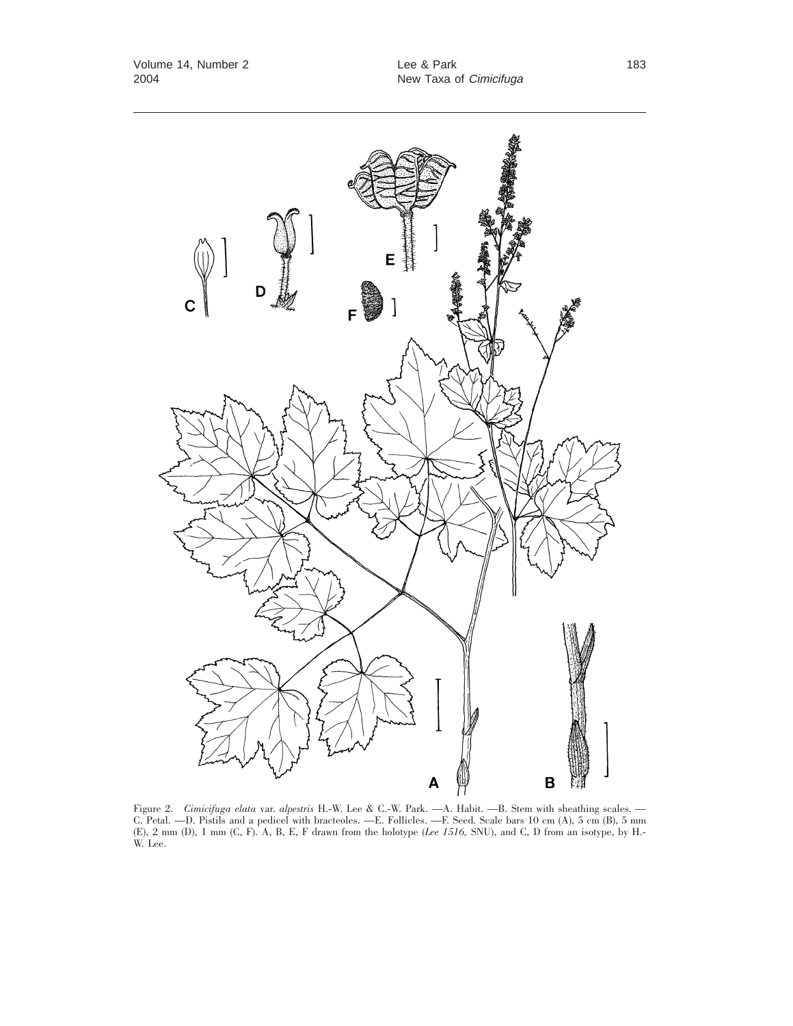

Figure 2. *Cimicifuga elata* var. *alpestris* H.-W. Lee & C.-W. Park. —A. Habit. —B. Stem with sheathing scales. — C. Petal. —D. Pistils and a pedicel with bracteoles. —E. Follicles. —F. Seed. Scale bars 10 cm (A), 5 cm (B), 5 mm (E), 2 mm (D), 1 mm (C, F). A, B, E, F drawn from the holotype (*Lee 1516,* SNU), and C, D from an isotype, by H.- W. Lee.